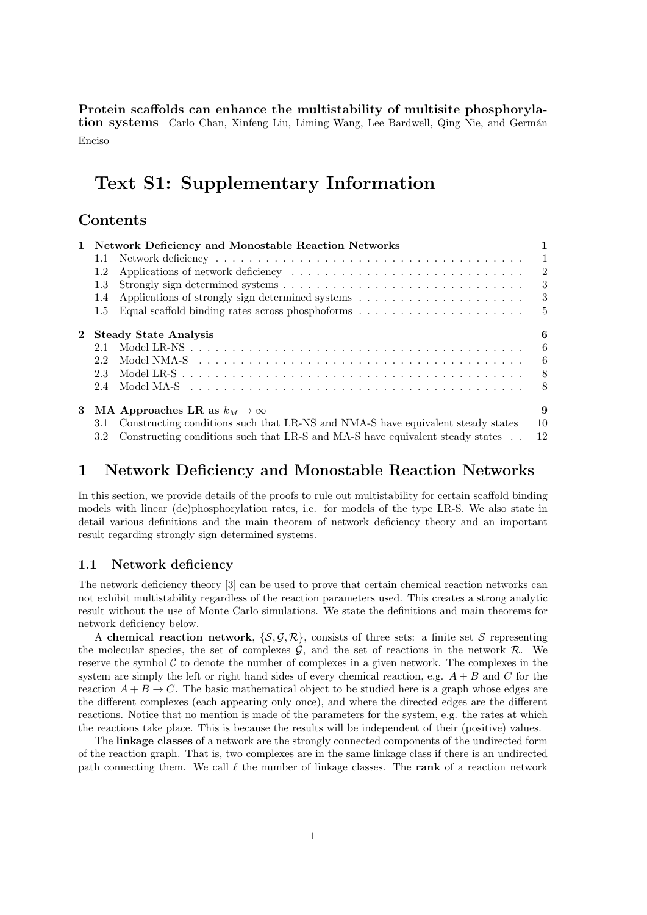**Protein scaffolds can enhance the multistability of multisite phosphorylation systems** Carlo Chan, Xinfeng Liu, Liming Wang, Lee Bardwell, Qing Nie, and Germán Enciso

# **Text S1: Supplementary Information**

# **Contents**

|                                                                                              | 1                                                                                                                                                                                                                                                                                                                                                                                                                                                         |
|----------------------------------------------------------------------------------------------|-----------------------------------------------------------------------------------------------------------------------------------------------------------------------------------------------------------------------------------------------------------------------------------------------------------------------------------------------------------------------------------------------------------------------------------------------------------|
|                                                                                              | $\mathbf{1}$                                                                                                                                                                                                                                                                                                                                                                                                                                              |
|                                                                                              | -2                                                                                                                                                                                                                                                                                                                                                                                                                                                        |
|                                                                                              | 3                                                                                                                                                                                                                                                                                                                                                                                                                                                         |
|                                                                                              | 3                                                                                                                                                                                                                                                                                                                                                                                                                                                         |
| Equal scaffold binding rates across phosphoforms $\dots \dots \dots \dots \dots \dots \dots$ |                                                                                                                                                                                                                                                                                                                                                                                                                                                           |
| <b>Steady State Analysis</b>                                                                 | 6                                                                                                                                                                                                                                                                                                                                                                                                                                                         |
|                                                                                              | 6                                                                                                                                                                                                                                                                                                                                                                                                                                                         |
|                                                                                              |                                                                                                                                                                                                                                                                                                                                                                                                                                                           |
|                                                                                              |                                                                                                                                                                                                                                                                                                                                                                                                                                                           |
|                                                                                              | 8                                                                                                                                                                                                                                                                                                                                                                                                                                                         |
|                                                                                              | 9<br>10<br>12                                                                                                                                                                                                                                                                                                                                                                                                                                             |
|                                                                                              | - 6<br>Model NMA-S research research in the series of the series of the series of the SMO delta SMO delta in the SMO delta SMO delta in the SMO delta in the SMO delta in the SMO delta in the SMO delta in the SMO delta in the SMO<br>- 8<br>3 MA Approaches LR as $k_M \to \infty$<br>Constructing conditions such that LR-NS and NMA-S have equivalent steady states<br>Constructing conditions such that LR-S and MA-S have equivalent steady states |

# **1 Network Deficiency and Monostable Reaction Networks**

In this section, we provide details of the proofs to rule out multistability for certain scaffold binding models with linear (de)phosphorylation rates, i.e. for models of the type LR-S. We also state in detail various definitions and the main theorem of network deficiency theory and an important result regarding strongly sign determined systems.

## **1.1 Network deficiency**

The network deficiency theory [3] can be used to prove that certain chemical reaction networks can not exhibit multistability regardless of the reaction parameters used. This creates a strong analytic result without the use of Monte Carlo simulations. We state the definitions and main theorems for network deficiency below.

A **chemical reaction network**,  $\{S, \mathcal{G}, \mathcal{R}\}\)$ , consists of three sets: a finite set *S* representing the molecular species, the set of complexes  $G$ , and the set of reactions in the network  $R$ . We reserve the symbol  $C$  to denote the number of complexes in a given network. The complexes in the system are simply the left or right hand sides of every chemical reaction, e.g. *A* + *B* and *C* for the reaction  $A + B \rightarrow C$ . The basic mathematical object to be studied here is a graph whose edges are the different complexes (each appearing only once), and where the directed edges are the different reactions. Notice that no mention is made of the parameters for the system, e.g. the rates at which the reactions take place. This is because the results will be independent of their (positive) values.

The **linkage classes** of a network are the strongly connected components of the undirected form of the reaction graph. That is, two complexes are in the same linkage class if there is an undirected path connecting them. We call *ℓ* the number of linkage classes. The **rank** of a reaction network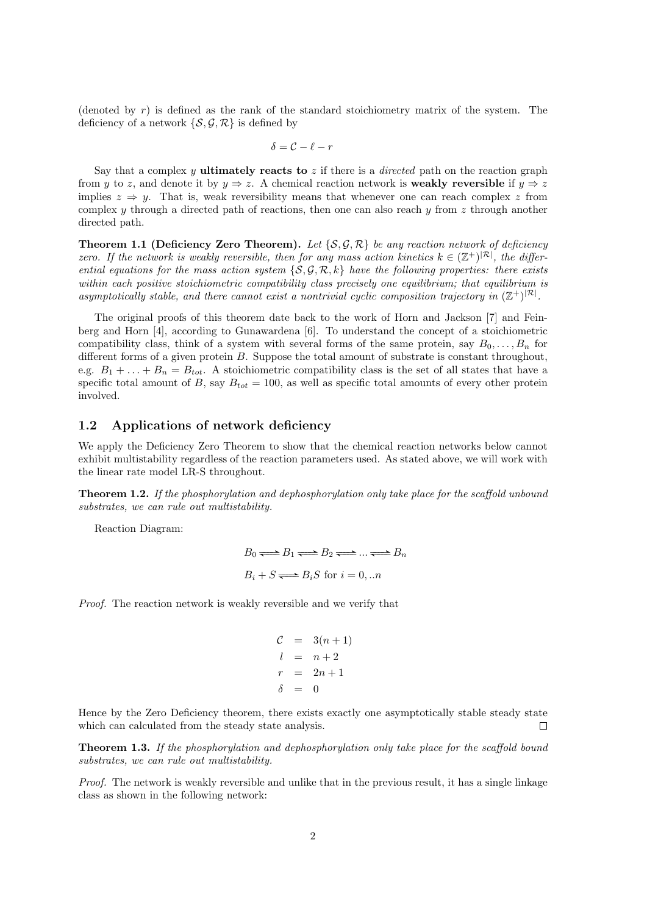(denoted by *r*) is defined as the rank of the standard stoichiometry matrix of the system. The deficiency of a network  $\{S, \mathcal{G}, \mathcal{R}\}\$ is defined by

$$
\delta = \mathcal{C} - \ell - r
$$

Say that a complex *y* **ultimately reacts to** *z* if there is a *directed* path on the reaction graph from *y* to *z*, and denote it by  $y \Rightarrow z$ . A chemical reaction network is **weakly reversible** if  $y \Rightarrow z$ implies  $z \Rightarrow y$ . That is, weak reversibility means that whenever one can reach complex z from complex *y* through a directed path of reactions, then one can also reach *y* from *z* through another directed path.

**Theorem 1.1 (Deficiency Zero Theorem).** Let  $\{S, \mathcal{G}, \mathcal{R}\}\$ be any reaction network of deficiency *zero.* If the network is weakly reversible, then for any mass action kinetics  $k \in (\mathbb{Z}^+)^{|\mathcal{R}|}$ , the differ*ential equations for the mass action system*  $\{S, \mathcal{G}, \mathcal{R}, k\}$  *have the following properties: there exists within each positive stoichiometric compatibility class precisely one equilibrium; that equilibrium is* asymptotically stable, and there cannot exist a nontrivial cyclic composition trajectory in  $(\mathbb{Z}^+)^{|\mathcal{R}|}$ .

The original proofs of this theorem date back to the work of Horn and Jackson [7] and Feinberg and Horn [4], according to Gunawardena [6]. To understand the concept of a stoichiometric compatibility class, think of a system with several forms of the same protein, say  $B_0, \ldots, B_n$  for different forms of a given protein *B*. Suppose the total amount of substrate is constant throughout, e.g.  $B_1 + \ldots + B_n = B_{tot}$ . A stoichiometric compatibility class is the set of all states that have a specific total amount of *B*, say  $B_{tot} = 100$ , as well as specific total amounts of every other protein involved.

## **1.2 Applications of network deficiency**

We apply the Deficiency Zero Theorem to show that the chemical reaction networks below cannot exhibit multistability regardless of the reaction parameters used. As stated above, we will work with the linear rate model LR-S throughout.

**Theorem 1.2.** *If the phosphorylation and dephosphorylation only take place for the scaffold unbound substrates, we can rule out multistability.*

Reaction Diagram:

$$
B_0 \Longleftrightarrow B_1 \Longleftrightarrow B_2 \Longleftrightarrow \dots \Longleftrightarrow B_n
$$
  

$$
B_i + S \Longleftrightarrow B_i S \text{ for } i = 0, \dots n
$$

*Proof.* The reaction network is weakly reversible and we verify that

$$
C = 3(n+1)
$$
  
\n
$$
l = n+2
$$
  
\n
$$
r = 2n+1
$$
  
\n
$$
\delta = 0
$$

Hence by the Zero Deficiency theorem, there exists exactly one asymptotically stable steady state which can calculated from the steady state analysis.  $\Box$ 

**Theorem 1.3.** *If the phosphorylation and dephosphorylation only take place for the scaffold bound substrates, we can rule out multistability.*

*Proof.* The network is weakly reversible and unlike that in the previous result, it has a single linkage class as shown in the following network: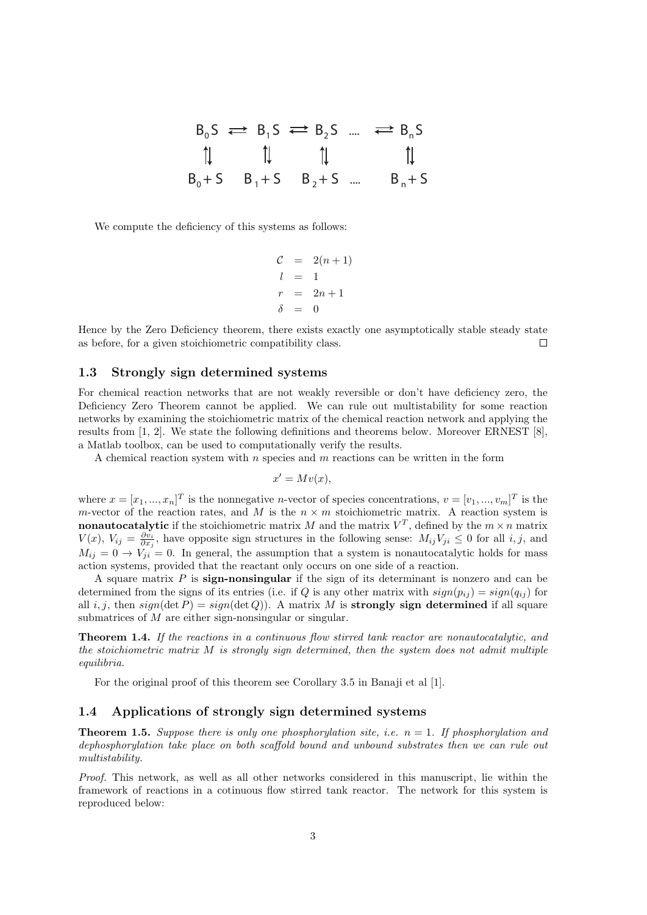|  | $B_0S \rightleftarrows B_1S \rightleftarrows B_2S$ $\rightleftarrows B_nS$                        |           |
|--|---------------------------------------------------------------------------------------------------|-----------|
|  | $\uparrow \qquad \uparrow \qquad \uparrow \qquad \uparrow \qquad \uparrow \qquad \uparrow \qquad$ |           |
|  | $B_0 + S$ $B_1 + S$ $B_2 + S$                                                                     | $B_n + S$ |

We compute the deficiency of this systems as follows:

$$
C = 2(n+1)
$$
  
\n
$$
l = 1
$$
  
\n
$$
r = 2n+1
$$
  
\n
$$
\delta = 0
$$

Hence by the Zero Deficiency theorem, there exists exactly one asymptotically stable steady state as before, for a given stoichiometric compatibility class.  $\Box$ 

#### **1.3 Strongly sign determined systems**

For chemical reaction networks that are not weakly reversible or don't have deficiency zero, the Deficiency Zero Theorem cannot be applied. We can rule out multistability for some reaction networks by examining the stoichiometric matrix of the chemical reaction network and applying the results from [1, 2]. We state the following definitions and theorems below. Moreover ERNEST [8], a Matlab toolbox, can be used to computationally verify the results.

A chemical reaction system with *n* species and *m* reactions can be written in the form

$$
x' = Mv(x),
$$

where  $x = [x_1, ..., x_n]^T$  is the nonnegative *n*-vector of species concentrations,  $v = [v_1, ..., v_m]^T$  is the *m*-vector of the reaction rates, and *M* is the  $n \times m$  stoichiometric matrix. A reaction system is **nonautocatalytic** if the stoichiometric matrix *M* and the matrix  $V^T$ , defined by the  $m \times n$  matrix *V*(*x*),  $V_{ij} = \frac{\partial v_i}{\partial x_j}$ , have opposite sign structures in the following sense:  $M_{ij}V_{ji} ≤ 0$  for all *i, j*, and  $M_{ij} = 0 \rightarrow V_{ji} = 0$ . In general, the assumption that a system is nonautocatalytic holds for mass action systems, provided that the reactant only occurs on one side of a reaction.

A square matrix *P* is **sign-nonsingular** if the sign of its determinant is nonzero and can be determined from the signs of its entries (i.e. if *Q* is any other matrix with  $sign(p_{ij}) = sign(q_{ij})$  for all  $i, j$ , then  $sign(\det P) = sign(\det Q)$ . A matrix M is **strongly sign determined** if all square submatrices of *M* are either sign-nonsingular or singular.

**Theorem 1.4.** *If the reactions in a continuous flow stirred tank reactor are nonautocatalytic, and the stoichiometric matrix M is strongly sign determined, then the system does not admit multiple equilibria.*

For the original proof of this theorem see Corollary 3.5 in Banaji et al [1].

## **1.4 Applications of strongly sign determined systems**

**Theorem 1.5.** *Suppose there is only one phosphorylation site, i.e.*  $n = 1$ . If phosphorylation and *dephosphorylation take place on both scaffold bound and unbound substrates then we can rule out multistability.*

*Proof.* This network, as well as all other networks considered in this manuscript, lie within the framework of reactions in a cotinuous flow stirred tank reactor. The network for this system is reproduced below: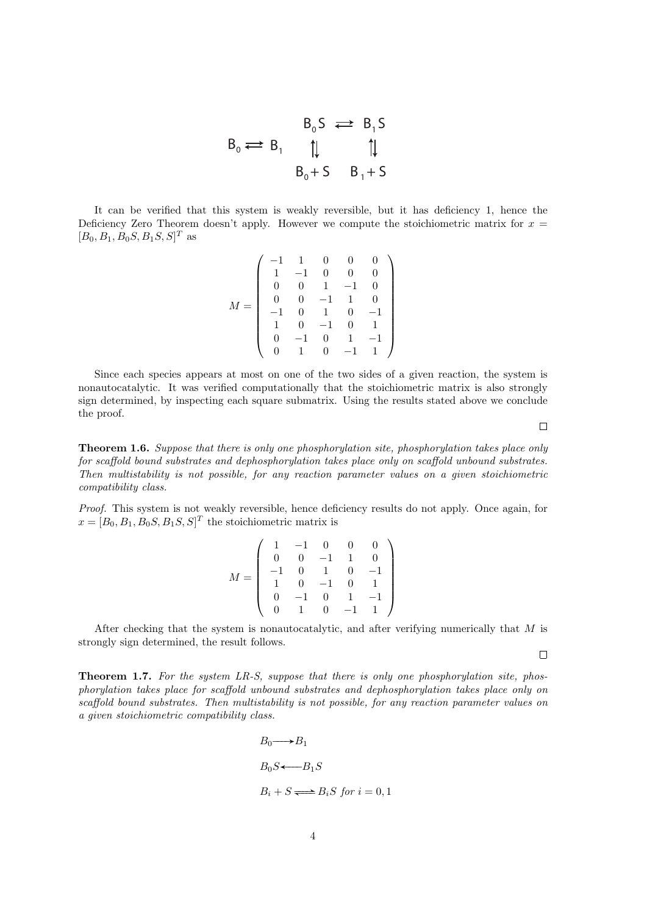$$
B_0 \Longleftrightarrow B_1 \qquad \begin{array}{ccc} & B_0S \Longleftrightarrow B_1S \\ \uparrow & & \uparrow \downarrow \\ & B_0 + S & B_1 + S \end{array}
$$

It can be verified that this system is weakly reversible, but it has deficiency 1, hence the Deficiency Zero Theorem doesn't apply. However we compute the stoichiometric matrix for  $x =$  $[B_0, B_1, B_0S, B_1S, S]^T$  as

$$
M = \left(\begin{array}{rrrrrr} -1 & 1 & 0 & 0 & 0 \\ 1 & -1 & 0 & 0 & 0 \\ 0 & 0 & 1 & -1 & 0 \\ 0 & 0 & -1 & 1 & 0 \\ -1 & 0 & 1 & 0 & -1 \\ 1 & 0 & -1 & 0 & 1 \\ 0 & -1 & 0 & 1 & -1 \\ 0 & 1 & 0 & -1 & 1 \end{array}\right)
$$

Since each species appears at most on one of the two sides of a given reaction, the system is nonautocatalytic. It was verified computationally that the stoichiometric matrix is also strongly sign determined, by inspecting each square submatrix. Using the results stated above we conclude the proof.

**Theorem 1.6.** *Suppose that there is only one phosphorylation site, phosphorylation takes place only for scaffold bound substrates and dephosphorylation takes place only on scaffold unbound substrates. Then multistability is not possible, for any reaction parameter values on a given stoichiometric compatibility class.*

*Proof.* This system is not weakly reversible, hence deficiency results do not apply. Once again, for  $x = [B_0, B_1, B_0, S, B_1, S, S]^T$  the stoichiometric matrix is

$$
M = \left(\begin{array}{rrrrrr} 1 & -1 & 0 & 0 & 0 \\ 0 & 0 & -1 & 1 & 0 \\ -1 & 0 & 1 & 0 & -1 \\ 1 & 0 & -1 & 0 & 1 \\ 0 & -1 & 0 & 1 & -1 \\ 0 & 1 & 0 & -1 & 1 \end{array}\right)
$$

After checking that the system is nonautocatalytic, and after verifying numerically that *M* is strongly sign determined, the result follows.

**Theorem 1.7.** *For the system LR-S, suppose that there is only one phosphorylation site, phosphorylation takes place for scaffold unbound substrates and dephosphorylation takes place only on scaffold bound substrates. Then multistability is not possible, for any reaction parameter values on a given stoichiometric compatibility class.*

$$
B_0 \longrightarrow B_1
$$
  
\n
$$
B_0 S \longleftarrow B_1 S
$$
  
\n
$$
B_i + S \longrightarrow B_i S \text{ for } i = 0, 1
$$

 $\Box$ 

 $\Box$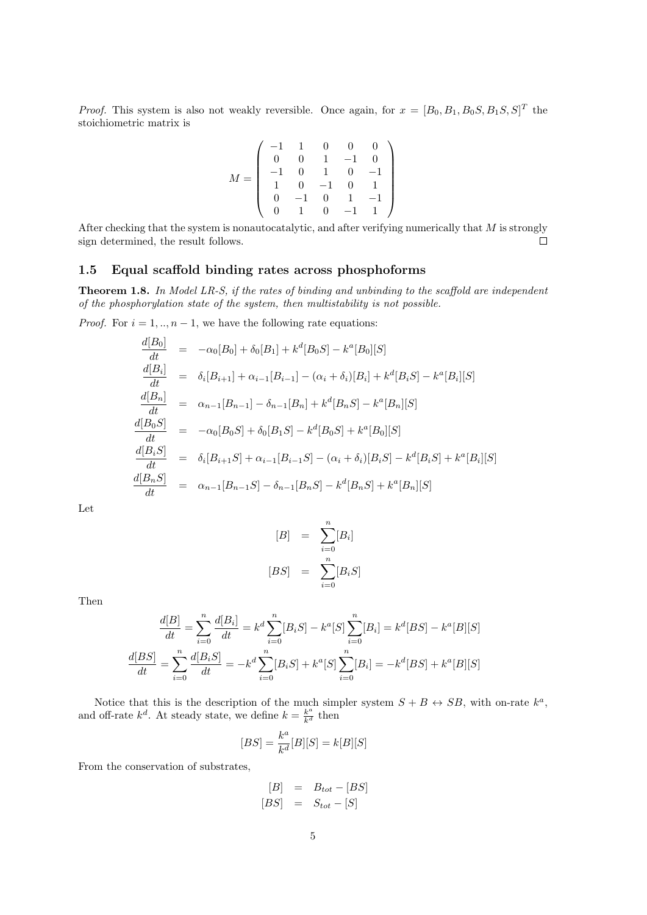*Proof.* This system is also not weakly reversible. Once again, for  $x = [B_0, B_1, B_0S, B_1S, S]^T$  the stoichiometric matrix is

$$
M = \left(\begin{array}{rrrrr} -1 & 1 & 0 & 0 & 0 \\ 0 & 0 & 1 & -1 & 0 \\ -1 & 0 & 1 & 0 & -1 \\ 1 & 0 & -1 & 0 & 1 \\ 0 & -1 & 0 & 1 & -1 \\ 0 & 1 & 0 & -1 & 1 \end{array}\right)
$$

After checking that the system is nonautocatalytic, and after verifying numerically that *M* is strongly sign determined, the result follows.  $\Box$ 

## **1.5 Equal scaffold binding rates across phosphoforms**

**Theorem 1.8.** *In Model LR-S, if the rates of binding and unbinding to the scaffold are independent of the phosphorylation state of the system, then multistability is not possible.*

*Proof.* For  $i = 1, ..., n - 1$ , we have the following rate equations:

$$
\frac{d[B_0]}{dt} = -\alpha_0[B_0] + \delta_0[B_1] + k^d[B_0S] - k^a[B_0][S]
$$
\n
$$
\frac{d[B_i]}{dt} = \delta_i[B_{i+1}] + \alpha_{i-1}[B_{i-1}] - (\alpha_i + \delta_i)[B_i] + k^d[B_iS] - k^a[B_i][S]
$$
\n
$$
\frac{d[B_n]}{dt} = \alpha_{n-1}[B_{n-1}] - \delta_{n-1}[B_n] + k^d[B_nS] - k^a[B_n][S]
$$
\n
$$
\frac{d[B_0S]}{dt} = -\alpha_0[B_0S] + \delta_0[B_1S] - k^d[B_0S] + k^a[B_0][S]
$$
\n
$$
\frac{d[B_iS]}{dt} = \delta_i[B_{i+1}S] + \alpha_{i-1}[B_{i-1}S] - (\alpha_i + \delta_i)[B_iS] - k^d[B_iS] + k^a[B_i][S]
$$
\n
$$
\frac{d[B_nS]}{dt} = \alpha_{n-1}[B_{n-1}S] - \delta_{n-1}[B_nS] - k^d[B_nS] + k^a[B_n][S]
$$

Let

$$
[B] = \sum_{i=0}^{n} [B_i]
$$

$$
[BS] = \sum_{i=0}^{n} [B_i S]
$$

Then

$$
\frac{d[B]}{dt} = \sum_{i=0}^{n} \frac{d[B_i]}{dt} = k^d \sum_{i=0}^{n} [B_i S] - k^a [S] \sum_{i=0}^{n} [B_i] = k^d [BS] - k^a [B][S]
$$

$$
\frac{d[BS]}{dt} = \sum_{i=0}^{n} \frac{d[B_i S]}{dt} = -k^d \sum_{i=0}^{n} [B_i S] + k^a [S] \sum_{i=0}^{n} [B_i] = -k^d [BS] + k^a [B][S]
$$

Notice that this is the description of the much simpler system  $S + B \leftrightarrow SB$ , with on-rate  $k^a$ , and off-rate  $k^d$ . At steady state, we define  $k = \frac{k^a}{k^d}$  then

$$
[BS] = \frac{k^a}{k^d}[B][S] = k[B][S]
$$

From the conservation of substrates,

$$
\begin{array}{rcl} [B] & = & B_{tot} - [BS] \\ [BS] & = & S_{tot} - [S] \end{array}
$$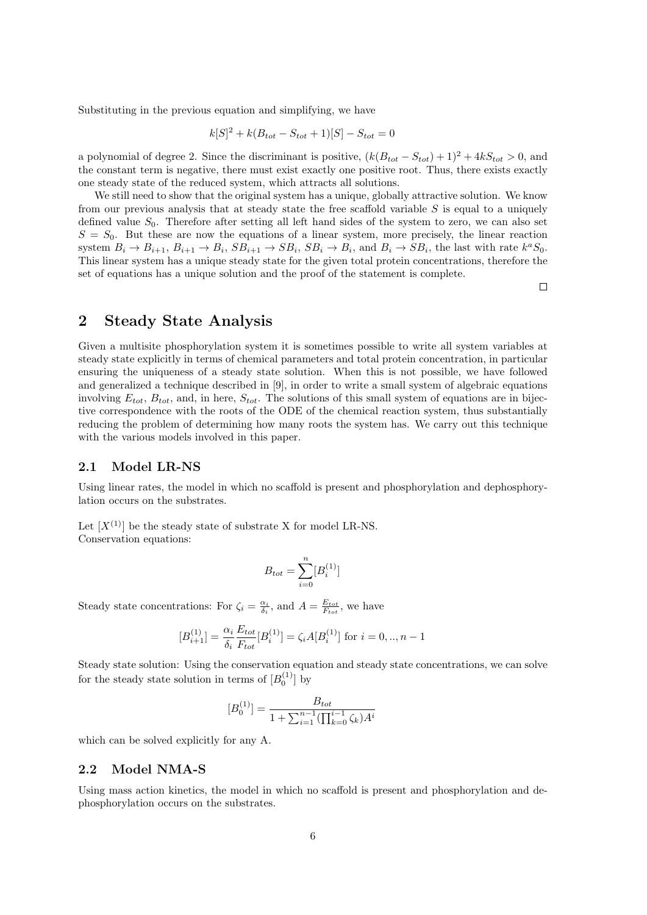Substituting in the previous equation and simplifying, we have

$$
k[S]^2 + k(B_{tot} - S_{tot} + 1)[S] - S_{tot} = 0
$$

a polynomial of degree 2. Since the discriminant is positive,  $(k(B_{tot} - S_{tot}) + 1)^2 + 4kS_{tot} > 0$ , and the constant term is negative, there must exist exactly one positive root. Thus, there exists exactly one steady state of the reduced system, which attracts all solutions.

We still need to show that the original system has a unique, globally attractive solution. We know from our previous analysis that at steady state the free scaffold variable *S* is equal to a uniquely defined value  $S_0$ . Therefore after setting all left hand sides of the system to zero, we can also set  $S = S<sub>0</sub>$ . But these are now the equations of a linear system, more precisely, the linear reaction system  $B_i \to B_{i+1}$ ,  $B_{i+1} \to B_i$ ,  $SB_{i+1} \to SB_i$ ,  $SB_i \to B_i$ , and  $B_i \to SB_i$ , the last with rate  $k^aS_0$ . This linear system has a unique steady state for the given total protein concentrations, therefore the set of equations has a unique solution and the proof of the statement is complete.

 $\Box$ 

## **2 Steady State Analysis**

Given a multisite phosphorylation system it is sometimes possible to write all system variables at steady state explicitly in terms of chemical parameters and total protein concentration, in particular ensuring the uniqueness of a steady state solution. When this is not possible, we have followed and generalized a technique described in [9], in order to write a small system of algebraic equations involving  $E_{tot}$ ,  $B_{tot}$ , and, in here,  $S_{tot}$ . The solutions of this small system of equations are in bijective correspondence with the roots of the ODE of the chemical reaction system, thus substantially reducing the problem of determining how many roots the system has. We carry out this technique with the various models involved in this paper.

#### **2.1 Model LR-NS**

Using linear rates, the model in which no scaffold is present and phosphorylation and dephosphorylation occurs on the substrates.

Let  $[X^{(1)}]$  be the steady state of substrate X for model LR-NS. Conservation equations:

$$
B_{tot} = \sum_{i=0}^{n} [B_i^{(1)}]
$$

Steady state concentrations: For  $\zeta_i = \frac{\alpha_i}{\delta_i}$ , and  $A = \frac{E_{tot}}{F_{tot}}$ , we have

$$
[B_{i+1}^{(1)}] = \frac{\alpha_i}{\delta_i} \frac{E_{tot}}{F_{tot}} [B_i^{(1)}] = \zeta_i A [B_i^{(1)}]
$$
 for  $i = 0, ..., n-1$ 

Steady state solution: Using the conservation equation and steady state concentrations, we can solve for the steady state solution in terms of  $[B_0^{(1)}]$  by

$$
[B_0^{(1)}] = \frac{B_{tot}}{1 + \sum_{i=1}^{n-1} (\prod_{k=0}^{i-1} \zeta_k) A^i}
$$

which can be solved explicitly for any A.

## **2.2 Model NMA-S**

Using mass action kinetics, the model in which no scaffold is present and phosphorylation and dephosphorylation occurs on the substrates.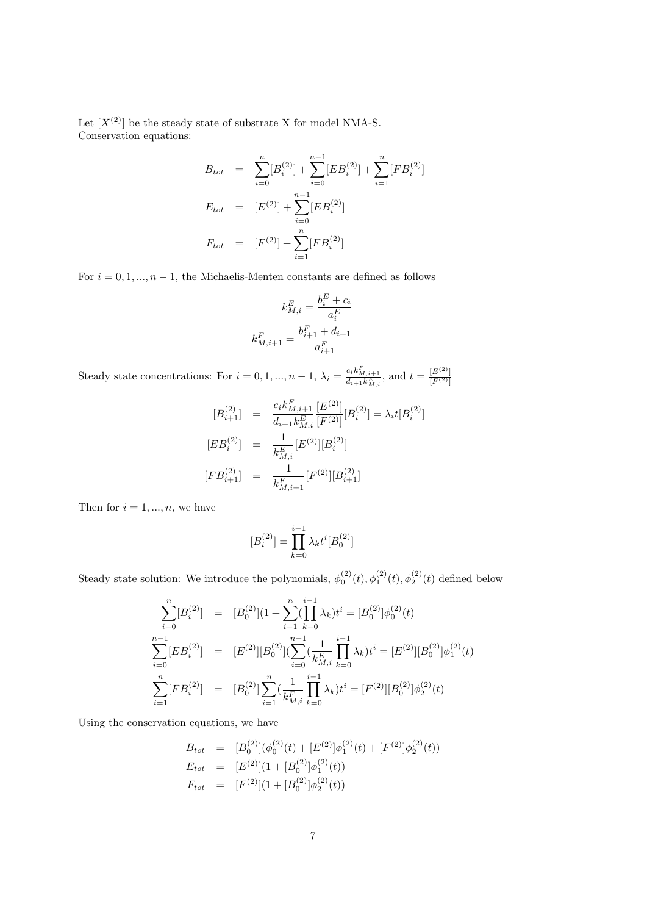Let  $[X^{(2)}]$  be the steady state of substrate X for model NMA-S. Conservation equations:

$$
B_{tot} = \sum_{i=0}^{n} [B_i^{(2)}] + \sum_{i=0}^{n-1} [EB_i^{(2)}] + \sum_{i=1}^{n} [FB_i^{(2)}]
$$
  
\n
$$
E_{tot} = [E^{(2)}] + \sum_{i=0}^{n-1} [EB_i^{(2)}]
$$
  
\n
$$
F_{tot} = [F^{(2)}] + \sum_{i=1}^{n} [FB_i^{(2)}]
$$

For  $i = 0, 1, \ldots, n - 1$ , the Michaelis-Menten constants are defined as follows

$$
k_{M,i}^{E} = \frac{b_i^{E} + c_i}{a_i^{E}}
$$

$$
k_{M,i+1}^{F} = \frac{b_{i+1}^{F} + d_{i+1}}{a_{i+1}^{F}}
$$

Steady state concentrations: For  $i = 0, 1, ..., n - 1$ ,  $\lambda_i = \frac{c_i k_{M,i+1}^F}{d_{i+1} k_{M,i}^E}$ , and  $t = \frac{[E^{(2)}]}{[F^{(2)}]}$  $[F^{(2)}]$ 

$$
[B_{i+1}^{(2)}] = \frac{c_i k_{M,i+1}^F [E^{(2)}]}{d_{i+1} k_{M,i}^E [F^{(2)}]} [B_i^{(2)}] = \lambda_i t [B_i^{(2)}]
$$
  
\n
$$
[EB_i^{(2)}] = \frac{1}{k_{M,i}^E} [E^{(2)}][B_i^{(2)}]
$$
  
\n
$$
[FB_{i+1}^{(2)}] = \frac{1}{k_{M,i}^F} [F^{(2)}][B_{i+1}^{(2)}]
$$

Then for  $i = 1, ..., n$ , we have

$$
[B_i^{(2)}] = \prod_{k=0}^{i-1} \lambda_k t^i [B_0^{(2)}]
$$

Steady state solution: We introduce the polynomials,  $\phi_0^{(2)}(t), \phi_1^{(2)}(t), \phi_2^{(2)}(t)$  defined below

$$
\sum_{i=0}^{n} [B_i^{(2)}] = [B_0^{(2)}](1 + \sum_{i=1}^{n} \left(\prod_{k=0}^{i-1} \lambda_k\right) t^i = [B_0^{(2)}] \phi_0^{(2)}(t)
$$
\n
$$
\sum_{i=0}^{n-1} [EB_i^{(2)}] = [E^{(2)}][B_0^{(2)}](\sum_{i=0}^{n-1} \left(\frac{1}{k_{M,i}^E} \prod_{k=0}^{i-1} \lambda_k\right) t^i = [E^{(2)}][B_0^{(2)}] \phi_1^{(2)}(t)
$$
\n
$$
\sum_{i=1}^{n} [FB_i^{(2)}] = [B_0^{(2)}] \sum_{i=1}^{n} \left(\frac{1}{k_{M,i}^F} \prod_{k=0}^{i-1} \lambda_k\right) t^i = [F^{(2)}][B_0^{(2)}] \phi_2^{(2)}(t)
$$

Using the conservation equations, we have

$$
B_{tot} = [B_0^{(2)}](\phi_0^{(2)}(t) + [E^{(2)}]\phi_1^{(2)}(t) + [F^{(2)}]\phi_2^{(2)}(t))
$$
  
\n
$$
E_{tot} = [E^{(2)}](1 + [B_0^{(2)}]\phi_1^{(2)}(t))
$$
  
\n
$$
F_{tot} = [F^{(2)}](1 + [B_0^{(2)}]\phi_2^{(2)}(t))
$$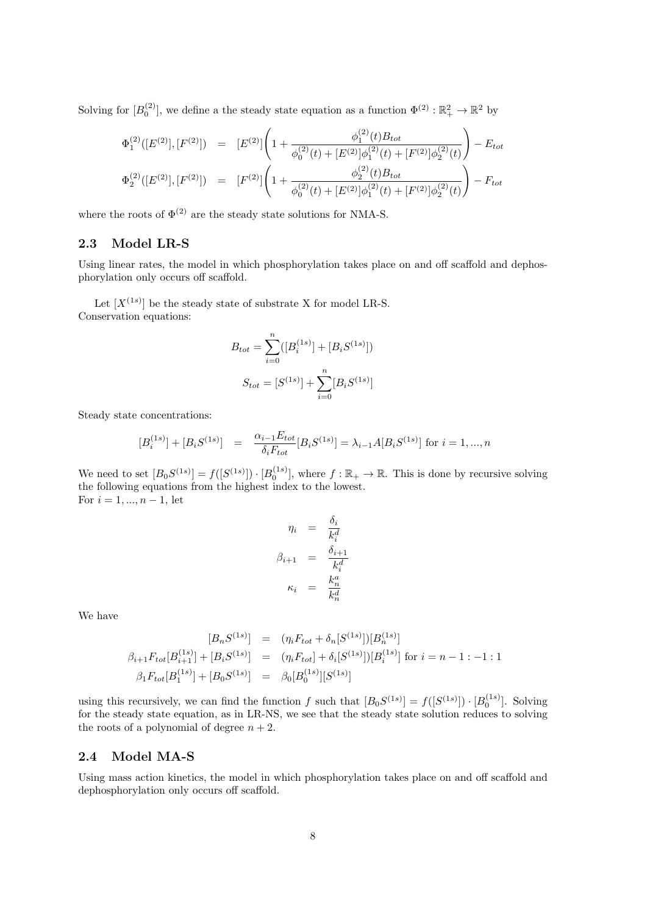Solving for  $[B_0^{(2)}]$ , we define a the steady state equation as a function  $\Phi^{(2)} : \mathbb{R}_+^2 \to \mathbb{R}^2$  by

$$
\Phi_1^{(2)}([E^{(2)}],[F^{(2)}]) = [E^{(2)}] \left(1 + \frac{\phi_1^{(2)}(t)B_{tot}}{\phi_0^{(2)}(t) + [E^{(2)}]\phi_1^{(2)}(t) + [F^{(2)}]\phi_2^{(2)}(t)}\right) - E_{tot}
$$
\n
$$
\Phi_2^{(2)}([E^{(2)}],[F^{(2)}]) = [F^{(2)}] \left(1 + \frac{\phi_2^{(2)}(t)B_{tot}}{\phi_0^{(2)}(t) + [E^{(2)}]\phi_1^{(2)}(t) + [F^{(2)}]\phi_2^{(2)}(t)}\right) - F_{tot}
$$

where the roots of  $\Phi^{(2)}$  are the steady state solutions for NMA-S.

## **2.3 Model LR-S**

Using linear rates, the model in which phosphorylation takes place on and off scaffold and dephosphorylation only occurs off scaffold.

Let  $[X^{(1s)}]$  be the steady state of substrate X for model LR-S. Conservation equations:

$$
B_{tot} = \sum_{i=0}^{n} ([B_i^{(1s)}] + [B_i S^{(1s)}])
$$

$$
S_{tot} = [S^{(1s)}] + \sum_{i=0}^{n} [B_i S^{(1s)}]
$$

Steady state concentrations:

$$
[B_i^{(1s)}] + [B_i S^{(1s)}] = \frac{\alpha_{i-1} E_{tot}}{\delta_i F_{tot}} [B_i S^{(1s)}] = \lambda_{i-1} A [B_i S^{(1s)}] \text{ for } i = 1, ..., n
$$

We need to set  $[B_0S^{(1s)}] = f([S^{(1s)}]) \cdot [B_0^{(1s)}]$ , where  $f : \mathbb{R}_+ \to \mathbb{R}$ . This is done by recursive solving the following equations from the highest index to the lowest. For *i* = 1*, ..., n −* 1, let

$$
\eta_i = \frac{\delta_i}{k_i^d}
$$

$$
\beta_{i+1} = \frac{\delta_{i+1}}{k_i^d}
$$

$$
\kappa_i = \frac{k_n^a}{k_n^d}
$$

We have

$$
[B_n S^{(1s)}] = (\eta_i F_{tot} + \delta_n [S^{(1s)}])[B_n^{(1s)}]
$$
  

$$
\beta_{i+1} F_{tot}[B_{i+1}^{(1s)}] + [B_i S^{(1s)}] = (\eta_i F_{tot}] + \delta_i [S^{(1s)}])[B_i^{(1s)}] \text{ for } i = n-1:-1:1
$$
  

$$
\beta_1 F_{tot}[B_1^{(1s)}] + [B_0 S^{(1s)}] = \beta_0 [B_0^{(1s)}][S^{(1s)}]
$$

using this recursively, we can find the function *f* such that  $[B_0S^{(1s)}] = f([S^{(1s)}]) \cdot [B_0^{(1s)}]$ . Solving for the steady state equation, as in LR-NS, we see that the steady state solution reduces to solving the roots of a polynomial of degree  $n + 2$ .

## **2.4 Model MA-S**

Using mass action kinetics, the model in which phosphorylation takes place on and off scaffold and dephosphorylation only occurs off scaffold.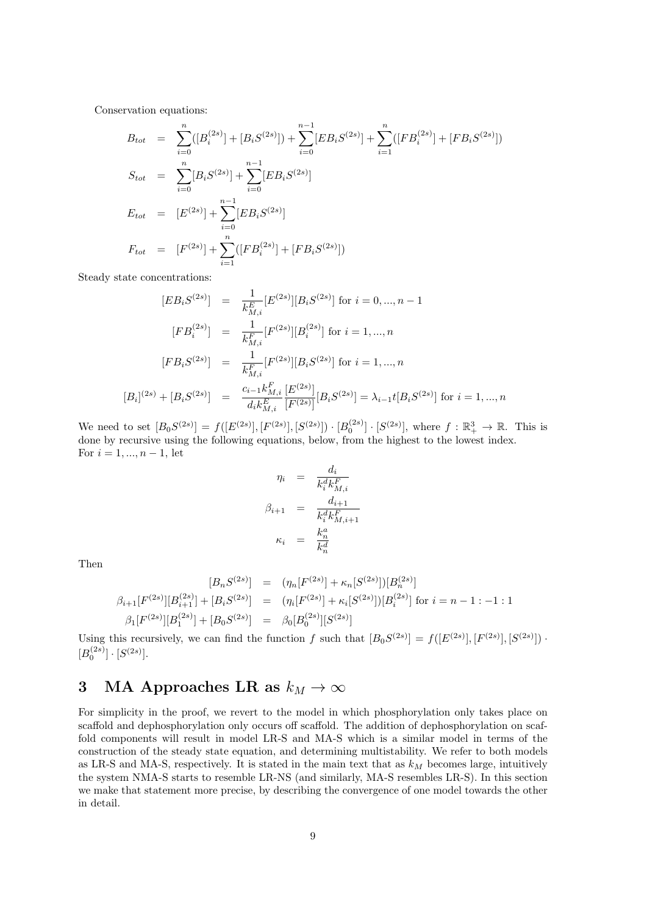Conservation equations:

$$
B_{tot} = \sum_{i=0}^{n} ([B_i^{(2s)}] + [B_i S^{(2s)}]) + \sum_{i=0}^{n-1} [EB_i S^{(2s)}] + \sum_{i=1}^{n} ([FB_i^{(2s)}] + [FB_i S^{(2s)}])
$$
  
\n
$$
S_{tot} = \sum_{i=0}^{n} [B_i S^{(2s)}] + \sum_{i=0}^{n-1} [EB_i S^{(2s)}]
$$
  
\n
$$
E_{tot} = [E^{(2s)}] + \sum_{i=0}^{n-1} [EB_i S^{(2s)}]
$$
  
\n
$$
F_{tot} = [F^{(2s)}] + \sum_{i=1}^{n} ([FB_i^{(2s)}] + [FB_i S^{(2s)}])
$$

Steady state concentrations:

$$
[EB_i S^{(2s)}] = \frac{1}{k_{M,i}^E} [E^{(2s)}][B_i S^{(2s)}] \text{ for } i = 0, ..., n-1
$$
  
\n
$$
[FB_i^{(2s)}] = \frac{1}{k_{M,i}^F} [F^{(2s)}][B_i^{(2s)}] \text{ for } i = 1, ..., n
$$
  
\n
$$
[FB_i S^{(2s)}] = \frac{1}{k_{M,i}^F} [F^{(2s)}][B_i S^{(2s)}] \text{ for } i = 1, ..., n
$$
  
\n
$$
[B_i]^{(2s)} + [B_i S^{(2s)}] = \frac{c_{i-1} k_{M,i}^F} {d_i k_{M,i}^E} \frac{[E^{(2s)}]}{[F^{(2s)}]} [B_i S^{(2s)}] = \lambda_{i-1} t [B_i S^{(2s)}] \text{ for } i = 1, ..., n
$$

We need to set  $[B_0S^{(2s)}] = f([E^{(2s)}],[F^{(2s)}],[S^{(2s)}]) \cdot [B_0^{(2s)}] \cdot [S^{(2s)}],$  where  $f : \mathbb{R}^3_+ \to \mathbb{R}$ . This is done by recursive using the following equations, below, from the highest to the lowest index. For *i* = 1*, ..., n −* 1, let

$$
\eta_i = \frac{d_i}{k_i^d k_{M,i}^F}
$$
\n
$$
\beta_{i+1} = \frac{d_{i+1}}{k_i^d k_{M,i+1}^F}
$$
\n
$$
\kappa_i = \frac{k_n^a}{k_n^d}
$$

Then

$$
[B_n S^{(2s)}] = (\eta_n [F^{(2s)}] + \kappa_n [S^{(2s)}]) [B_n^{(2s)}]
$$
  

$$
\beta_{i+1} [F^{(2s)}] [B_{i+1}^{(2s)}] + [B_i S^{(2s)}] = (\eta_i [F^{(2s)}] + \kappa_i [S^{(2s)}]) [B_i^{(2s)}] \text{ for } i = n - 1 : -1 : 1
$$
  

$$
\beta_1 [F^{(2s)}] [B_1^{(2s)}] + [B_0 S^{(2s)}] = \beta_0 [B_0^{(2s)}] [S^{(2s)}]
$$

Using this recursively, we can find the function *f* such that  $[B_0S^{(2s)}] = f([E^{(2s)}], [F^{(2s)}], [S^{(2s)}])$  $[B_0^{(2s)}] \cdot [S^{(2s)}].$ 

# **3** MA Approaches LR as  $k_M \to \infty$

For simplicity in the proof, we revert to the model in which phosphorylation only takes place on scaffold and dephosphorylation only occurs off scaffold. The addition of dephosphorylation on scaffold components will result in model LR-S and MA-S which is a similar model in terms of the construction of the steady state equation, and determining multistability. We refer to both models as LR-S and MA-S, respectively. It is stated in the main text that as *k<sup>M</sup>* becomes large, intuitively the system NMA-S starts to resemble LR-NS (and similarly, MA-S resembles LR-S). In this section we make that statement more precise, by describing the convergence of one model towards the other in detail.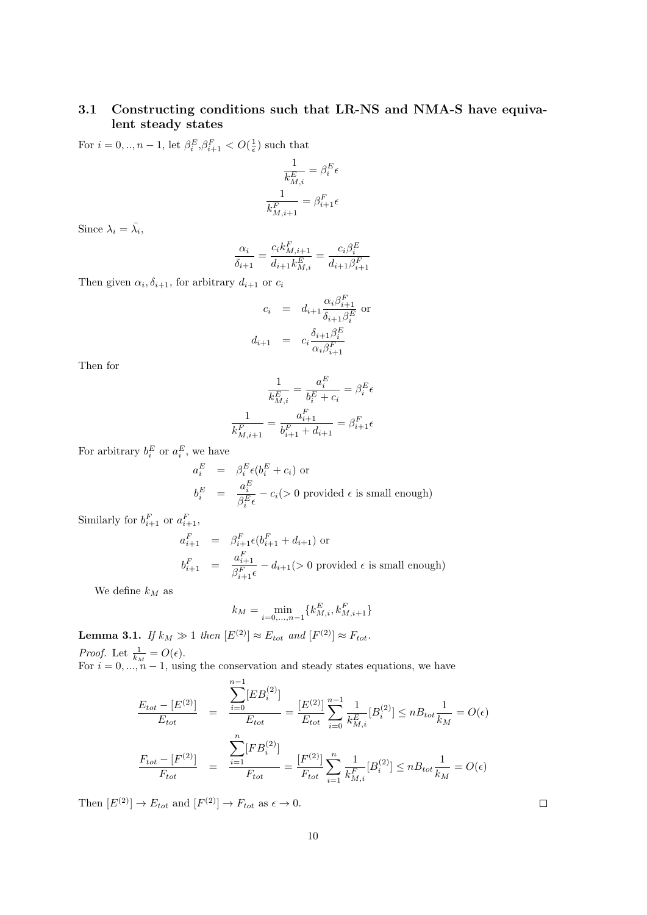## **3.1 Constructing conditions such that LR-NS and NMA-S have equivalent steady states**

For  $i = 0, ..., n - 1$ , let  $\beta_i^E, \beta_{i+1}^F < O(\frac{1}{\epsilon})$  such that

$$
\frac{1}{k_{M,i}^E} = \beta_i^E \epsilon
$$

$$
\frac{1}{k_{M,i+1}^F} = \beta_{i+1}^F \epsilon
$$

Since  $\lambda_i = \bar{\lambda_i}$ ,

$$
\frac{\alpha_i}{\delta_{i+1}} = \frac{c_i k_{M,i+1}^F}{d_{i+1} k_{M,i}^E} = \frac{c_i \beta_i^E}{d_{i+1} \beta_{i+1}^F}
$$

Then given  $\alpha_i, \delta_{i+1}$ , for arbitrary  $d_{i+1}$  or  $c_i$ 

$$
c_i = d_{i+1} \frac{\alpha_i \beta_{i+1}^F}{\delta_{i+1} \beta_i^E}
$$
 or  

$$
d_{i+1} = c_i \frac{\delta_{i+1} \beta_i^E}{\alpha_i \beta_{i+1}^F}
$$

Then for

$$
\frac{1}{k_{M,i}^E}=\frac{a_i^E}{b_i^E+c_i}=\beta_i^E\epsilon
$$

$$
\frac{1}{k_{M,i+1}^F}=\frac{a_{i+1}^F}{b_{i+1}^F+d_{i+1}}=\beta_{i+1}^F\epsilon
$$

For arbitrary  $b_i^E$  or  $a_i^E$ , we have

$$
a_i^E = \beta_i^E \epsilon (b_i^E + c_i) \text{ or}
$$
  
\n
$$
b_i^E = \frac{a_i^E}{\beta_i^E \epsilon} - c_i \quadgt; 0 \text{ provided } \epsilon \text{ is small enough}
$$

Similarly for  $b_{i+1}^F$  or  $a_{i+1}^F$ ,

$$
a_{i+1}^F = \beta_{i+1}^F \epsilon(b_{i+1}^F + d_{i+1})
$$
 or  

$$
b_{i+1}^F = \frac{a_{i+1}^F}{\beta_{i+1}^F \epsilon} - d_{i+1} \geq 0
$$
 provided  $\epsilon$  is small enough)

We define  $k_M$  as

$$
k_M = \min_{i=0,...,n-1}\{k_{M,i}^E, k_{M,i+1}^F\}
$$

**Lemma 3.1.** *If*  $k_M \gg 1$  *then*  $[E^{(2)}] \approx E_{tot}$  *and*  $[F^{(2)}] \approx F_{tot}$ *. Proof.* Let  $\frac{1}{k_M} = O(\epsilon)$ .

For  $i = 0, \ldots, n-1$ , using the conservation and steady states equations, we have

$$
\frac{E_{tot} - [E^{(2)}]}{E_{tot}} = \frac{\sum_{i=0}^{n-1} [EB_i^{(2)}]}{E_{tot}} = \frac{[E^{(2)}]}{E_{tot}} \sum_{i=0}^{n-1} \frac{1}{k_{M,i}^E} [B_i^{(2)}] \le n B_{tot} \frac{1}{k_M} = O(\epsilon)
$$
\n
$$
\frac{F_{tot} - [F^{(2)}]}{F_{tot}} = \frac{\sum_{i=1}^{n} [FB_i^{(2)}]}{F_{tot}} = \frac{[F^{(2)}]}{F_{tot}} \sum_{i=1}^{n} \frac{1}{k_{M,i}^F} [B_i^{(2)}] \le n B_{tot} \frac{1}{k_M} = O(\epsilon)
$$

Then  $[E^{(2)}] \to E_{tot}$  and  $[F^{(2)}] \to F_{tot}$  as  $\epsilon \to 0$ .

 $\Box$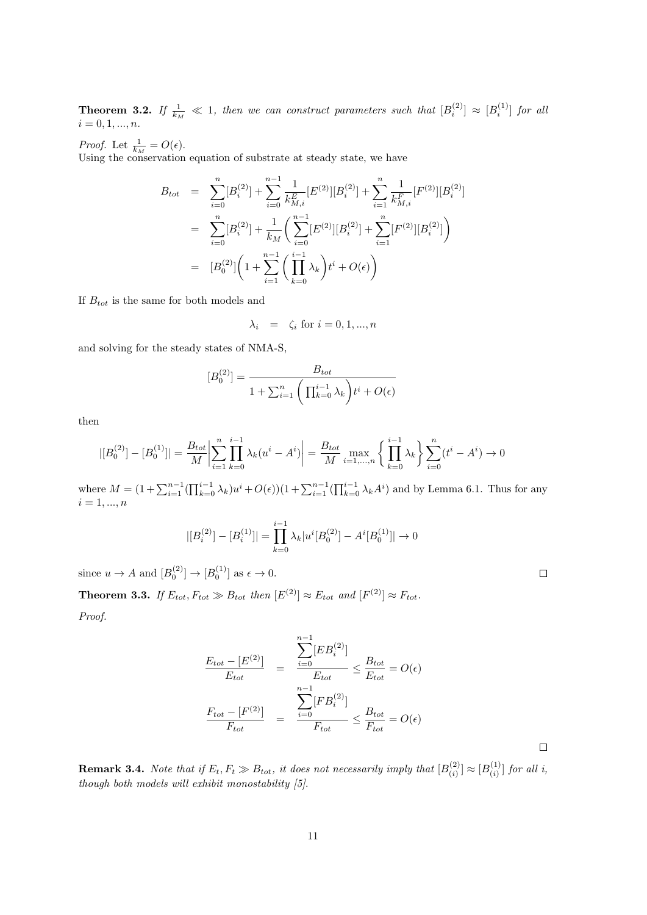**Theorem 3.2.** If  $\frac{1}{k_M} \ll 1$ , then we can construct parameters such that  $[B_i^{(2)}] \approx [B_i^{(1)}]$  for all  $i = 0, 1, ..., n$ .

*Proof.* Let  $\frac{1}{k_M} = O(\epsilon)$ .

Using the conservation equation of substrate at steady state, we have

$$
B_{tot} = \sum_{i=0}^{n} [B_i^{(2)}] + \sum_{i=0}^{n-1} \frac{1}{k_{M,i}^E} [E^{(2)}][B_i^{(2)}] + \sum_{i=1}^{n} \frac{1}{k_{M,i}^F} [F^{(2)}][B_i^{(2)}]
$$
  

$$
= \sum_{i=0}^{n} [B_i^{(2)}] + \frac{1}{k_M} \left( \sum_{i=0}^{n-1} [E^{(2)}][B_i^{(2)}] + \sum_{i=1}^{n} [F^{(2)}][B_i^{(2)}] \right)
$$
  

$$
= [B_0^{(2)}] \left( 1 + \sum_{i=1}^{n-1} \left( \prod_{k=0}^{i-1} \lambda_k \right) t^i + O(\epsilon) \right)
$$

If  $B_{tot}$  is the same for both models and

$$
\lambda_i = \zeta_i \text{ for } i = 0, 1, ..., n
$$

and solving for the steady states of NMA-S,

$$
[B_0^{(2)}] = \frac{B_{tot}}{1 + \sum_{i=1}^n \left(\prod_{k=0}^{i-1} \lambda_k\right) t^i + O(\epsilon)}
$$

then

$$
|[B_0^{(2)}] - [B_0^{(1)}]| = \frac{B_{tot}}{M} \left| \sum_{i=1}^n \prod_{k=0}^{i-1} \lambda_k (u^i - A^i) \right| = \frac{B_{tot}}{M} \max_{i=1,\dots,n} \left\{ \prod_{k=0}^{i-1} \lambda_k \right\} \sum_{i=0}^n (t^i - A^i) \to 0
$$

where  $M = (1 + \sum_{i=1}^{n-1} (\prod_{k=0}^{i-1} \lambda_k) u^i + O(\epsilon)) (1 + \sum_{i=1}^{n-1} (\prod_{k=0}^{i-1} \lambda_k A^i)$  and by Lemma 6.1. Thus for any  $i = 1, ..., n$ 

$$
|[B_i^{(2)}] - [B_i^{(1)}]| = \prod_{k=0}^{i-1} \lambda_k |u^i[B_0^{(2)}] - A^i[B_0^{(1)}]| \to 0
$$

since  $u \to A$  and  $[B_0^{(2)}] \to [B_0^{(1)}]$  as  $\epsilon \to 0$ .

**Theorem 3.3.** *If*  $E_{tot}$ ,  $F_{tot} \gg B_{tot}$  *then*  $[E^{(2)}] \approx E_{tot}$  *and*  $[F^{(2)}] \approx F_{tot}$ *.* 

*Proof.*

$$
\frac{E_{tot} - [E^{(2)}]}{E_{tot}} = \frac{\sum_{i=0}^{n-1} [EB_i^{(2)}]}{E_{tot}} \le \frac{B_{tot}}{E_{tot}} = O(\epsilon)
$$
\n
$$
\frac{F_{tot} - [F^{(2)}]}{F_{tot}} = \frac{\sum_{i=0}^{n-1} [FB_i^{(2)}]}{F_{tot}} \le \frac{B_{tot}}{F_{tot}} = O(\epsilon)
$$

**Remark 3.4.** *Note that if*  $E_t$ ,  $F_t \gg B_{tot}$ *, it does not necessarily imply that*  $[B_{(i)}^{(2)}]$  $\binom{(2)}{(i)} \approx [B_{(i)}^{(1)}]$  $\binom{1}{i}$  for all *i*, *though both models will exhibit monostability [5]*.

 $\Box$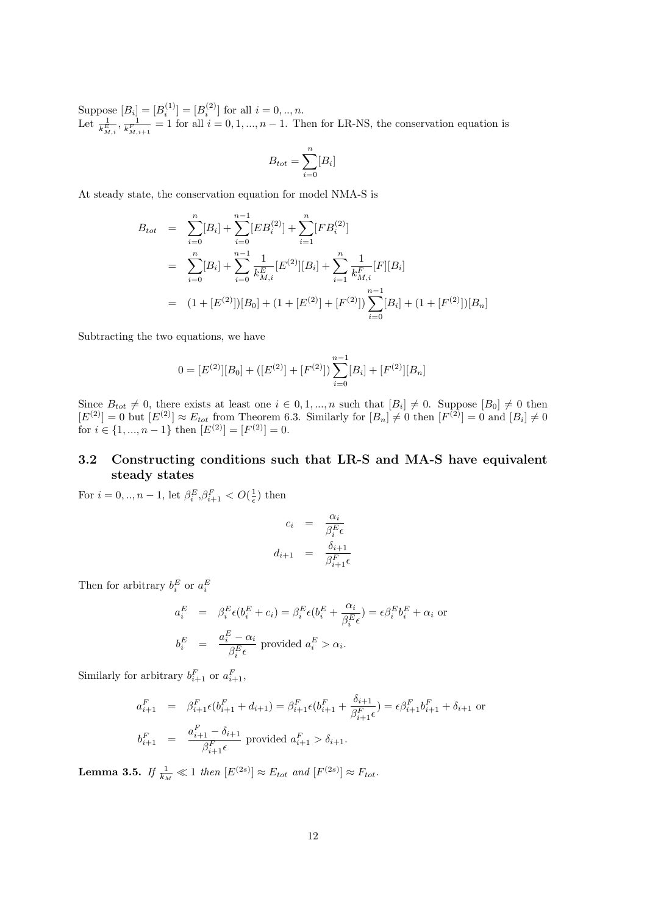Suppose  $[B_i] = [B_i^{(1)}] = [B_i^{(2)}]$  for all  $i = 0, ..., n$ . Let  $\frac{1}{k_{M,i}^E}$ ,  $\frac{1}{k_{M,i+1}^F}$  = 1 for all  $i = 0, 1, ..., n-1$ . Then for LR-NS, the conservation equation is

$$
B_{tot} = \sum_{i=0}^{n} [B_i]
$$

At steady state, the conservation equation for model NMA-S is

$$
B_{tot} = \sum_{i=0}^{n} [B_i] + \sum_{i=0}^{n-1} [EB_i^{(2)}] + \sum_{i=1}^{n} [FB_i^{(2)}]
$$
  
\n
$$
= \sum_{i=0}^{n} [B_i] + \sum_{i=0}^{n-1} \frac{1}{k_{M,i}^E} [E^{(2)}][B_i] + \sum_{i=1}^{n} \frac{1}{k_{M,i}^F} [F][B_i]
$$
  
\n
$$
= (1 + [E^{(2)}])[B_0] + (1 + [E^{(2)}] + [F^{(2)}]) \sum_{i=0}^{n-1} [B_i] + (1 + [F^{(2)}])[B_n]
$$

Subtracting the two equations, we have

$$
0 = [E^{(2)}][B_0] + ([E^{(2)}] + [F^{(2)}]) \sum_{i=0}^{n-1} [B_i] + [F^{(2)}][B_n]
$$

Since  $B_{tot} \neq 0$ , there exists at least one  $i \in [0,1,...,n$  such that  $[B_i] \neq 0$ . Suppose  $[B_0] \neq 0$  then  $[E^{(2)}] = 0$  but  $[E^{(2)}] \approx E_{tot}$  from Theorem 6.3. Similarly for  $[B_n] \neq 0$  then  $[F^{(2)}] = 0$  and  $[B_i] \neq 0$ for  $i \in \{1, ..., n-1\}$  then  $[E^{(2)}] = [F^{(2)}] = 0$ .

# **3.2 Constructing conditions such that LR-S and MA-S have equivalent steady states**

For  $i = 0, ..., n - 1$ , let  $\beta_i^E, \beta_{i+1}^F < O(\frac{1}{\epsilon})$  then

$$
c_i = \frac{\alpha_i}{\beta_i^E \epsilon}
$$

$$
d_{i+1} = \frac{\delta_{i+1}}{\beta_{i+1}^F \epsilon}
$$

Then for arbitrary  $b_i^E$  or  $a_i^E$ 

$$
a_i^E = \beta_i^E \epsilon (b_i^E + c_i) = \beta_i^E \epsilon (b_i^E + \frac{\alpha_i}{\beta_i^E \epsilon}) = \epsilon \beta_i^E b_i^E + \alpha_i \text{ or}
$$
  

$$
b_i^E = \frac{a_i^E - \alpha_i}{\beta_i^E \epsilon} \text{ provided } a_i^E > \alpha_i.
$$

Similarly for arbitrary  $b_{i+1}^F$  or  $a_{i+1}^F$ ,

$$
a_{i+1}^F = \beta_{i+1}^F \epsilon(b_{i+1}^F + d_{i+1}) = \beta_{i+1}^F \epsilon(b_{i+1}^F + \frac{\delta_{i+1}}{\beta_{i+1}^F \epsilon}) = \epsilon \beta_{i+1}^F b_{i+1}^F + \delta_{i+1}
$$
 or  

$$
b_{i+1}^F = \frac{a_{i+1}^F - \delta_{i+1}}{\beta_{i+1}^F \epsilon}
$$
 provided  $a_{i+1}^F > \delta_{i+1}$ .

**Lemma 3.5.** *If*  $\frac{1}{k_M} \ll 1$  *then*  $[E^{(2s)}] \approx E_{tot}$  *and*  $[F^{(2s)}] \approx F_{tot}$ *.*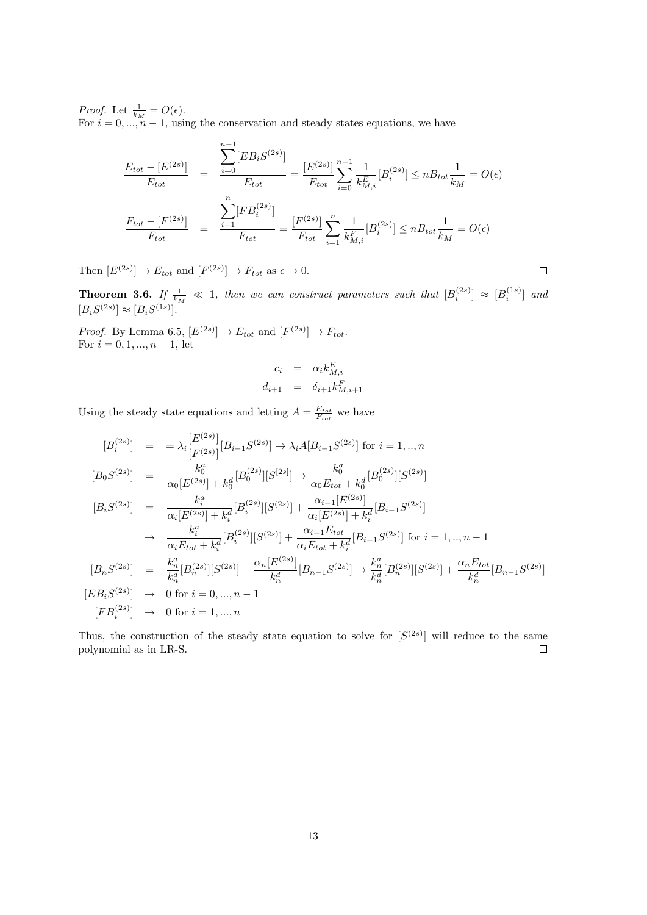*Proof.* Let  $\frac{1}{k_M} = O(\epsilon)$ .

For  $i = 0, \ldots, n-1$ , using the conservation and steady states equations, we have

$$
\frac{E_{tot} - [E^{(2s)}]}{E_{tot}} = \frac{\sum_{i=0}^{n-1} [EB_i S^{(2s)}]}{E_{tot}} = \frac{[E^{(2s)}]}{E_{tot}} \sum_{i=0}^{n-1} \frac{1}{k_M^E} [B_i^{(2s)}] \le nB_{tot} \frac{1}{k_M} = O(\epsilon)
$$
\n
$$
\frac{F_{tot} - [F^{(2s)}]}{F_{tot}} = \frac{\sum_{i=1}^{n} [FB_i^{(2s)}]}{F_{tot}} = \frac{[F^{(2s)}]}{F_{tot}} \sum_{i=1}^{n} \frac{1}{k_M^E} [B_i^{(2s)}] \le nB_{tot} \frac{1}{k_M} = O(\epsilon)
$$

Then  $[E^{(2s)}] \to E_{tot}$  and  $[F^{(2s)}] \to F_{tot}$  as  $\epsilon \to 0$ .

**Theorem 3.6.** If  $\frac{1}{k_M} \ll 1$ , then we can construct parameters such that  $[B_i^{(2s)}] \approx [B_i^{(1s)}]$  and  $[B_i S^{(2s)}] \approx [B_i S^{(1s)}].$ 

 $\Box$ 

*Proof.* By Lemma 6.5,  $[E^{(2s)}] \rightarrow E_{tot}$  and  $[F^{(2s)}] \rightarrow F_{tot}$ . For *i* = 0*,* 1*, ..., n −* 1, let

$$
c_i = \alpha_i k_{M,i}^E
$$
  

$$
d_{i+1} = \delta_{i+1} k_{M,i+1}^F
$$

Using the steady state equations and letting  $A = \frac{E_{tot}}{F_{tot}}$  we have

$$
[B_i^{(2s)}] = \lambda_i \frac{[E^{(2s)}]}{[F^{(2s)}]} [B_{i-1}S^{(2s)}] \rightarrow \lambda_i A [B_{i-1}S^{(2s)}] \text{ for } i = 1, ..., n
$$
  
\n
$$
[B_0S^{(2s)}] = \frac{k_0^a}{\alpha_0 [E^{(2s)}] + k_0^d} [B_0^{(2s)}][S^{(2s)}] \rightarrow \frac{k_0^a}{\alpha_0 E_{tot} + k_0^d} [B_0^{(2s)}][S^{(2s)}]
$$
  
\n
$$
[B_i S^{(2s)}] = \frac{k_i^a}{\alpha_i [E^{(2s)}] + k_i^d} [B_i^{(2s)}][S^{(2s)}] + \frac{\alpha_{i-1} [E^{(2s)}]}{\alpha_i [E^{(2s)}] + k_i^d} [B_{i-1} S^{(2s)}]
$$
  
\n
$$
\rightarrow \frac{k_i^a}{\alpha_i E_{tot} + k_i^d} [B_i^{(2s)}][S^{(2s)}] + \frac{\alpha_{i-1} E_{tot}}{\alpha_i E_{tot} + k_i^d} [B_{i-1} S^{(2s)}] \text{ for } i = 1, ..., n-1
$$
  
\n
$$
[B_n S^{(2s)}] = \frac{k_n^a}{k_n^d} [B_n^{(2s)}][S^{(2s)}] + \frac{\alpha_n [E^{(2s)}]}{k_n^d} [B_{n-1} S^{(2s)}] \rightarrow \frac{k_n^a}{k_n^d} [B_n^{(2s)}][S^{(2s)}] + \frac{\alpha_n E_{tot}}{k_n^d} [B_{n-1} S^{(2s)}]
$$
  
\n
$$
[EB_i S^{(2s)}] \rightarrow 0 \text{ for } i = 0, ..., n-1
$$
  
\n
$$
[FB_i^{(2s)}] \rightarrow 0 \text{ for } i = 1, ..., n
$$

Thus, the construction of the steady state equation to solve for  $[S^{(2s)}]$  will reduce to the same polynomial as in LR-S.  $\Box$